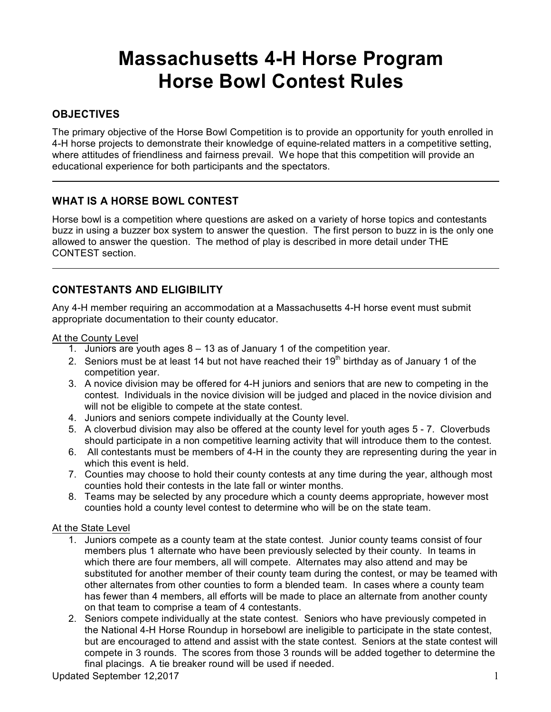# **Massachusetts 4-H Horse Program Horse Bowl Contest Rules**

# **OBJECTIVES**

The primary objective of the Horse Bowl Competition is to provide an opportunity for youth enrolled in 4-H horse projects to demonstrate their knowledge of equine-related matters in a competitive setting, where attitudes of friendliness and fairness prevail. We hope that this competition will provide an educational experience for both participants and the spectators.

# **WHAT IS A HORSE BOWL CONTEST**

Horse bowl is a competition where questions are asked on a variety of horse topics and contestants buzz in using a buzzer box system to answer the question. The first person to buzz in is the only one allowed to answer the question. The method of play is described in more detail under THE CONTEST section.

# **CONTESTANTS AND ELIGIBILITY**

Any 4-H member requiring an accommodation at a Massachusetts 4-H horse event must submit appropriate documentation to their county educator.

At the County Level

- 1. Juniors are youth ages 8 13 as of January 1 of the competition year.
- 2. Seniors must be at least 14 but not have reached their  $19<sup>th</sup>$  birthday as of January 1 of the competition year.
- 3. A novice division may be offered for 4-H juniors and seniors that are new to competing in the contest. Individuals in the novice division will be judged and placed in the novice division and will not be eligible to compete at the state contest.
- 4. Juniors and seniors compete individually at the County level.
- 5. A cloverbud division may also be offered at the county level for youth ages 5 7. Cloverbuds should participate in a non competitive learning activity that will introduce them to the contest.
- 6. All contestants must be members of 4-H in the county they are representing during the year in which this event is held.
- 7. Counties may choose to hold their county contests at any time during the year, although most counties hold their contests in the late fall or winter months.
- 8. Teams may be selected by any procedure which a county deems appropriate, however most counties hold a county level contest to determine who will be on the state team.

#### At the State Level

- 1. Juniors compete as a county team at the state contest. Junior county teams consist of four members plus 1 alternate who have been previously selected by their county. In teams in which there are four members, all will compete. Alternates may also attend and may be substituted for another member of their county team during the contest, or may be teamed with other alternates from other counties to form a blended team. In cases where a county team has fewer than 4 members, all efforts will be made to place an alternate from another county on that team to comprise a team of 4 contestants.
- 2. Seniors compete individually at the state contest. Seniors who have previously competed in the National 4-H Horse Roundup in horsebowl are ineligible to participate in the state contest, but are encouraged to attend and assist with the state contest. Seniors at the state contest will compete in 3 rounds. The scores from those 3 rounds will be added together to determine the final placings. A tie breaker round will be used if needed.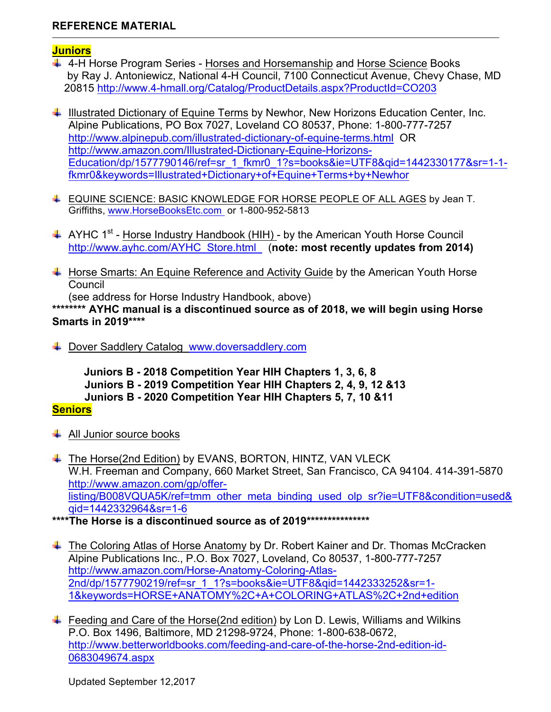# **REFERENCE MATERIAL**

#### **Juniors**

- 4-H Horse Program Series Horses and Horsemanship and Horse Science Books by Ray J. Antoniewicz, National 4-H Council, 7100 Connecticut Avenue, Chevy Chase, MD 20815 http://www.4-hmall.org/Catalog/ProductDetails.aspx?ProductId=CO203
- ↓ Illustrated Dictionary of Equine Terms by Newhor, New Horizons Education Center, Inc. Alpine Publications, PO Box 7027, Loveland CO 80537, Phone: 1-800-777-7257 http://www.alpinepub.com/illustrated-dictionary-of-equine-terms.html OR http://www.amazon.com/Illustrated-Dictionary-Equine-Horizons-Education/dp/1577790146/ref=sr\_1\_fkmr0\_1?s=books&ie=UTF8&qid=1442330177&sr=1-1 fkmr0&keywords=Illustrated+Dictionary+of+Equine+Terms+by+Newhor
- ↓ EQUINE SCIENCE: BASIC KNOWLEDGE FOR HORSE PEOPLE OF ALL AGES by Jean T. Griffiths, www.HorseBooksEtc.com or 1-800-952-5813
- $\uparrow$  AYHC 1<sup>st</sup> Horse Industry Handbook (HIH) by the American Youth Horse Council http://www.ayhc.com/AYHC\_Store.html (**note: most recently updates from 2014)**
- $\ddot{+}$  Horse Smarts: An Equine Reference and Activity Guide by the American Youth Horse **Council**

(see address for Horse Industry Handbook, above)

**\*\*\*\*\*\*\*\* AYHC manual is a discontinued source as of 2018, we will begin using Horse Smarts in 2019\*\*\*\***

Dover Saddlery Catalog www.doversaddlery.com

 **Juniors B - 2018 Competition Year HIH Chapters 1, 3, 6, 8 Juniors B - 2019 Competition Year HIH Chapters 2, 4, 9, 12 &13 Juniors B - 2020 Competition Year HIH Chapters 5, 7, 10 &11**

## **Seniors**

- $\downarrow$  All Junior source books
- ↓ The Horse(2nd Edition) by EVANS, BORTON, HINTZ, VAN VLECK W.H. Freeman and Company, 660 Market Street, San Francisco, CA 94104. 414-391-5870 http://www.amazon.com/gp/offerlisting/B008VQUA5K/ref=tmm\_other\_meta\_binding\_used\_olp\_sr?ie=UTF8&condition=used& qid=1442332964&sr=1-6

**\*\*\*\*The Horse is a discontinued source as of 2019\*\*\*\*\*\*\*\*\*\*\*\*\*\*\***

- ↓ The Coloring Atlas of Horse Anatomy by Dr. Robert Kainer and Dr. Thomas McCracken Alpine Publications Inc., P.O. Box 7027, Loveland, Co 80537, 1-800-777-7257 http://www.amazon.com/Horse-Anatomy-Coloring-Atlas-2nd/dp/1577790219/ref=sr\_1\_1?s=books&ie=UTF8&qid=1442333252&sr=1- 1&keywords=HORSE+ANATOMY%2C+A+COLORING+ATLAS%2C+2nd+edition
- $\ddot{+}$  Feeding and Care of the Horse(2nd edition) by Lon D. Lewis, Williams and Wilkins P.O. Box 1496, Baltimore, MD 21298-9724, Phone: 1-800-638-0672, http://www.betterworldbooks.com/feeding-and-care-of-the-horse-2nd-edition-id-0683049674.aspx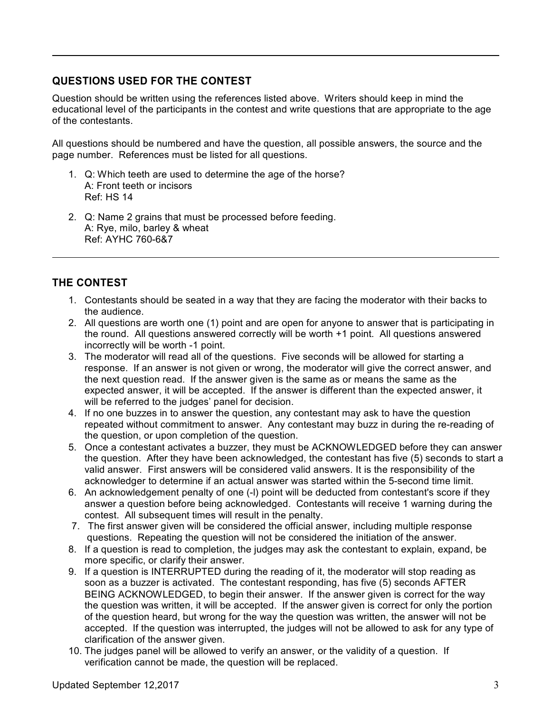# **QUESTIONS USED FOR THE CONTEST**

Question should be written using the references listed above. Writers should keep in mind the educational level of the participants in the contest and write questions that are appropriate to the age of the contestants.

All questions should be numbered and have the question, all possible answers, the source and the page number. References must be listed for all questions.

- 1. Q: Which teeth are used to determine the age of the horse? A: Front teeth or incisors Ref: HS 14
- 2. Q: Name 2 grains that must be processed before feeding. A: Rye, milo, barley & wheat Ref: AYHC 760-6&7

# **THE CONTEST**

- 1. Contestants should be seated in a way that they are facing the moderator with their backs to the audience.
- 2. All questions are worth one (1) point and are open for anyone to answer that is participating in the round. All questions answered correctly will be worth +1 point. All questions answered incorrectly will be worth -1 point.
- 3. The moderator will read all of the questions. Five seconds will be allowed for starting a response. If an answer is not given or wrong, the moderator will give the correct answer, and the next question read. If the answer given is the same as or means the same as the expected answer, it will be accepted. If the answer is different than the expected answer, it will be referred to the judges' panel for decision.
- 4. If no one buzzes in to answer the question, any contestant may ask to have the question repeated without commitment to answer. Any contestant may buzz in during the re-reading of the question, or upon completion of the question.
- 5. Once a contestant activates a buzzer, they must be ACKNOWLEDGED before they can answer the question. After they have been acknowledged, the contestant has five (5) seconds to start a valid answer. First answers will be considered valid answers. It is the responsibility of the acknowledger to determine if an actual answer was started within the 5-second time limit.
- 6. An acknowledgement penalty of one (-l) point will be deducted from contestant's score if they answer a question before being acknowledged. Contestants will receive 1 warning during the contest. All subsequent times will result in the penalty.
- 7. The first answer given will be considered the official answer, including multiple response questions. Repeating the question will not be considered the initiation of the answer.
- 8. If a question is read to completion, the judges may ask the contestant to explain, expand, be more specific, or clarify their answer.
- 9. If a question is INTERRUPTED during the reading of it, the moderator will stop reading as soon as a buzzer is activated. The contestant responding, has five (5) seconds AFTER BEING ACKNOWLEDGED, to begin their answer. If the answer given is correct for the way the question was written, it will be accepted. If the answer given is correct for only the portion of the question heard, but wrong for the way the question was written, the answer will not be accepted. If the question was interrupted, the judges will not be allowed to ask for any type of clarification of the answer given.
- 10. The judges panel will be allowed to verify an answer, or the validity of a question. If verification cannot be made, the question will be replaced.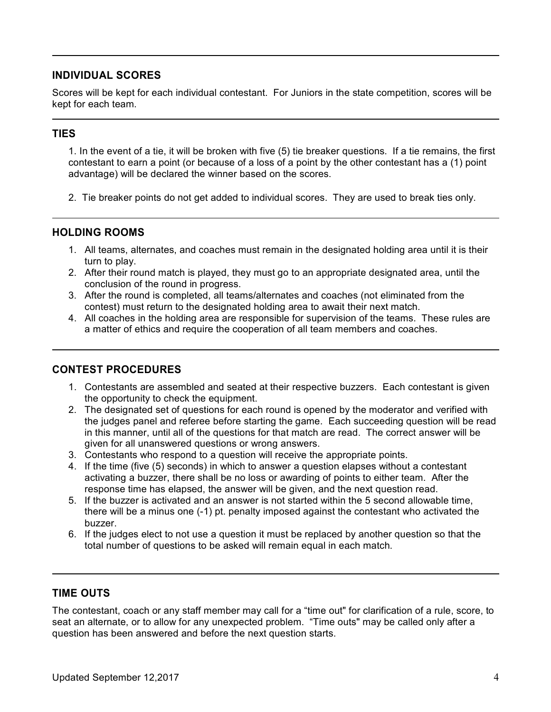# **INDIVIDUAL SCORES**

Scores will be kept for each individual contestant. For Juniors in the state competition, scores will be kept for each team.

# **TIES**

1. In the event of a tie, it will be broken with five (5) tie breaker questions. If a tie remains, the first contestant to earn a point (or because of a loss of a point by the other contestant has a (1) point advantage) will be declared the winner based on the scores.

2. Tie breaker points do not get added to individual scores. They are used to break ties only.

## **HOLDING ROOMS**

- 1. All teams, alternates, and coaches must remain in the designated holding area until it is their turn to play.
- 2. After their round match is played, they must go to an appropriate designated area, until the conclusion of the round in progress.
- 3. After the round is completed, all teams/alternates and coaches (not eliminated from the contest) must return to the designated holding area to await their next match.
- 4. All coaches in the holding area are responsible for supervision of the teams. These rules are a matter of ethics and require the cooperation of all team members and coaches.

## **CONTEST PROCEDURES**

- 1. Contestants are assembled and seated at their respective buzzers. Each contestant is given the opportunity to check the equipment.
- 2. The designated set of questions for each round is opened by the moderator and verified with the judges panel and referee before starting the game. Each succeeding question will be read in this manner, until all of the questions for that match are read. The correct answer will be given for all unanswered questions or wrong answers.
- 3. Contestants who respond to a question will receive the appropriate points.
- 4. If the time (five (5) seconds) in which to answer a question elapses without a contestant activating a buzzer, there shall be no loss or awarding of points to either team. After the response time has elapsed, the answer will be given, and the next question read.
- 5. If the buzzer is activated and an answer is not started within the 5 second allowable time, there will be a minus one (-1) pt. penalty imposed against the contestant who activated the buzzer.
- 6. If the judges elect to not use a question it must be replaced by another question so that the total number of questions to be asked will remain equal in each match.

## **TIME OUTS**

The contestant, coach or any staff member may call for a "time out" for clarification of a rule, score, to seat an alternate, or to allow for any unexpected problem. "Time outs" may be called only after a question has been answered and before the next question starts.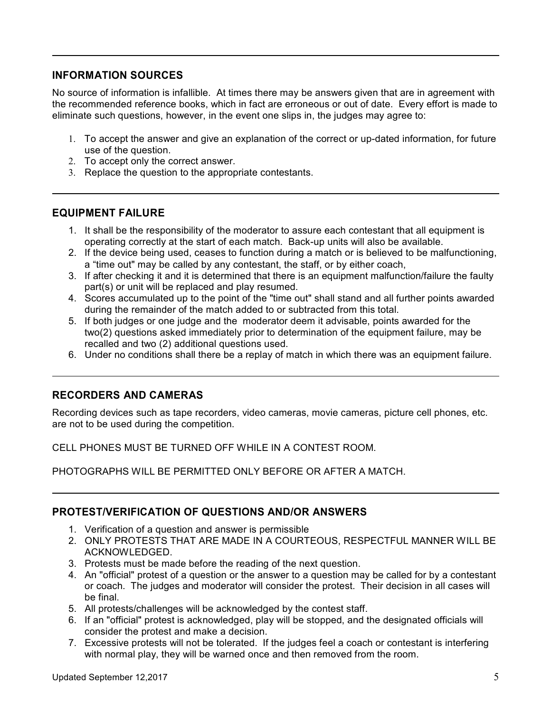## **INFORMATION SOURCES**

No source of information is infallible. At times there may be answers given that are in agreement with the recommended reference books, which in fact are erroneous or out of date. Every effort is made to eliminate such questions, however, in the event one slips in, the judges may agree to:

- 1. To accept the answer and give an explanation of the correct or up-dated information, for future use of the question.
- 2. To accept only the correct answer.
- 3. Replace the question to the appropriate contestants.

#### **EQUIPMENT FAILURE**

- 1. It shall be the responsibility of the moderator to assure each contestant that all equipment is operating correctly at the start of each match. Back-up units will also be available.
- 2. If the device being used, ceases to function during a match or is believed to be malfunctioning, a "time out" may be called by any contestant, the staff, or by either coach,
- 3. If after checking it and it is determined that there is an equipment malfunction/failure the faulty part(s) or unit will be replaced and play resumed.
- 4. Scores accumulated up to the point of the "time out" shall stand and all further points awarded during the remainder of the match added to or subtracted from this total.
- 5. If both judges or one judge and the moderator deem it advisable, points awarded for the two(2) questions asked immediately prior to determination of the equipment failure, may be recalled and two (2) additional questions used.
- 6. Under no conditions shall there be a replay of match in which there was an equipment failure.

## **RECORDERS AND CAMERAS**

Recording devices such as tape recorders, video cameras, movie cameras, picture cell phones, etc. are not to be used during the competition.

CELL PHONES MUST BE TURNED OFF WHILE IN A CONTEST ROOM.

PHOTOGRAPHS WILL BE PERMITTED ONLY BEFORE OR AFTER A MATCH.

#### **PROTEST/VERIFICATION OF QUESTIONS AND/OR ANSWERS**

- 1. Verification of a question and answer is permissible
- 2. ONLY PROTESTS THAT ARE MADE IN A COURTEOUS, RESPECTFUL MANNER WILL BE ACKNOWLEDGED.
- 3. Protests must be made before the reading of the next question.
- 4. An "official" protest of a question or the answer to a question may be called for by a contestant or coach. The judges and moderator will consider the protest. Their decision in all cases will be final.
- 5. All protests/challenges will be acknowledged by the contest staff.
- 6. If an "official" protest is acknowledged, play will be stopped, and the designated officials will consider the protest and make a decision.
- 7. Excessive protests will not be tolerated. If the judges feel a coach or contestant is interfering with normal play, they will be warned once and then removed from the room.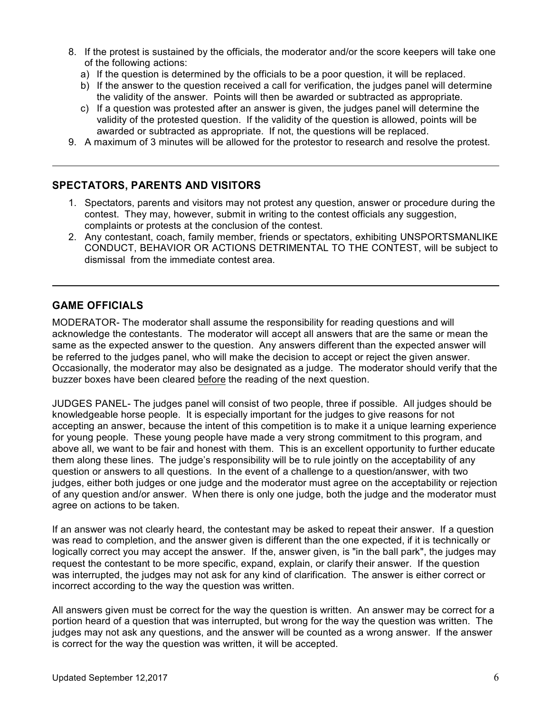- 8. If the protest is sustained by the officials, the moderator and/or the score keepers will take one of the following actions:
	- a) If the question is determined by the officials to be a poor question, it will be replaced.
	- b) If the answer to the question received a call for verification, the judges panel will determine the validity of the answer. Points will then be awarded or subtracted as appropriate.
	- c) If a question was protested after an answer is given, the judges panel will determine the validity of the protested question. If the validity of the question is allowed, points will be awarded or subtracted as appropriate. If not, the questions will be replaced.
- 9. A maximum of 3 minutes will be allowed for the protestor to research and resolve the protest.

#### **SPECTATORS, PARENTS AND VISITORS**

- 1. Spectators, parents and visitors may not protest any question, answer or procedure during the contest. They may, however, submit in writing to the contest officials any suggestion, complaints or protests at the conclusion of the contest.
- 2. Any contestant, coach, family member, friends or spectators, exhibiting UNSPORTSMANLIKE CONDUCT, BEHAVIOR OR ACTIONS DETRIMENTAL TO THE CONTEST, will be subject to dismissal from the immediate contest area.

#### **GAME OFFICIALS**

MODERATOR- The moderator shall assume the responsibility for reading questions and will acknowledge the contestants. The moderator will accept all answers that are the same or mean the same as the expected answer to the question. Any answers different than the expected answer will be referred to the judges panel, who will make the decision to accept or reject the given answer. Occasionally, the moderator may also be designated as a judge. The moderator should verify that the buzzer boxes have been cleared before the reading of the next question.

JUDGES PANEL- The judges panel will consist of two people, three if possible. All judges should be knowledgeable horse people. It is especially important for the judges to give reasons for not accepting an answer, because the intent of this competition is to make it a unique learning experience for young people. These young people have made a very strong commitment to this program, and above all, we want to be fair and honest with them. This is an excellent opportunity to further educate them along these lines. The judge's responsibility will be to rule jointly on the acceptability of any question or answers to all questions. In the event of a challenge to a question/answer, with two judges, either both judges or one judge and the moderator must agree on the acceptability or rejection of any question and/or answer. When there is only one judge, both the judge and the moderator must agree on actions to be taken.

If an answer was not clearly heard, the contestant may be asked to repeat their answer. If a question was read to completion, and the answer given is different than the one expected, if it is technically or logically correct you may accept the answer. If the, answer given, is "in the ball park", the judges may request the contestant to be more specific, expand, explain, or clarify their answer. If the question was interrupted, the judges may not ask for any kind of clarification. The answer is either correct or incorrect according to the way the question was written.

All answers given must be correct for the way the question is written. An answer may be correct for a portion heard of a question that was interrupted, but wrong for the way the question was written. The judges may not ask any questions, and the answer will be counted as a wrong answer. If the answer is correct for the way the question was written, it will be accepted.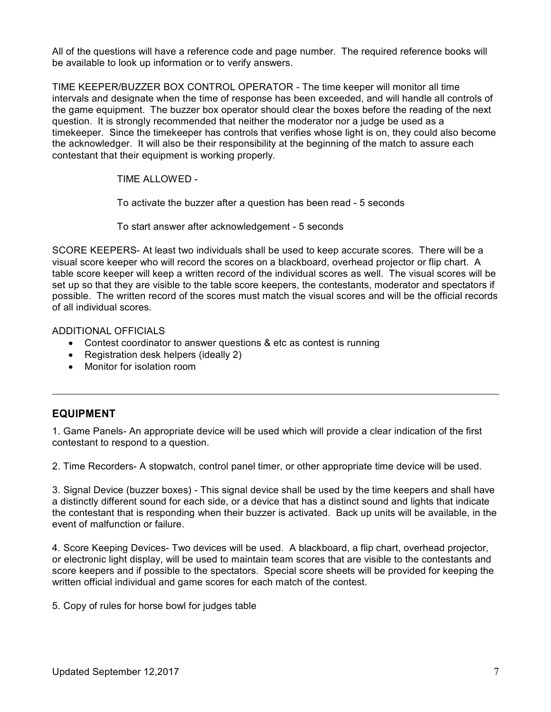All of the questions will have a reference code and page number. The required reference books will be available to look up information or to verify answers.

TIME KEEPER/BUZZER BOX CONTROL OPERATOR - The time keeper will monitor all time intervals and designate when the time of response has been exceeded, and will handle all controls of the game equipment. The buzzer box operator should clear the boxes before the reading of the next question. It is strongly recommended that neither the moderator nor a judge be used as a timekeeper. Since the timekeeper has controls that verifies whose light is on, they could also become the acknowledger. It will also be their responsibility at the beginning of the match to assure each contestant that their equipment is working properly.

TIME ALLOWED -

To activate the buzzer after a question has been read - 5 seconds

To start answer after acknowledgement - 5 seconds

SCORE KEEPERS- At least two individuals shall be used to keep accurate scores. There will be a visual score keeper who will record the scores on a blackboard, overhead projector or flip chart. A table score keeper will keep a written record of the individual scores as well. The visual scores will be set up so that they are visible to the table score keepers, the contestants, moderator and spectators if possible. The written record of the scores must match the visual scores and will be the official records of all individual scores.

#### ADDITIONAL OFFICIALS

- Contest coordinator to answer questions & etc as contest is running
- Registration desk helpers (ideally 2)
- Monitor for isolation room

## **EQUIPMENT**

1. Game Panels- An appropriate device will be used which will provide a clear indication of the first contestant to respond to a question.

2. Time Recorders- A stopwatch, control panel timer, or other appropriate time device will be used.

3. Signal Device (buzzer boxes) - This signal device shall be used by the time keepers and shall have a distinctly different sound for each side, or a device that has a distinct sound and lights that indicate the contestant that is responding when their buzzer is activated. Back up units will be available, in the event of malfunction or failure.

4. Score Keeping Devices- Two devices will be used. A blackboard, a flip chart, overhead projector, or electronic light display, will be used to maintain team scores that are visible to the contestants and score keepers and if possible to the spectators. Special score sheets will be provided for keeping the written official individual and game scores for each match of the contest.

5. Copy of rules for horse bowl for judges table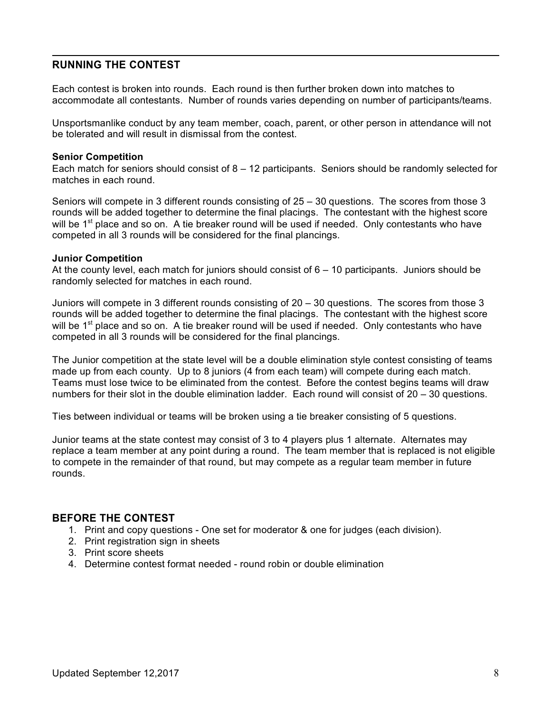#### **RUNNING THE CONTEST**

Each contest is broken into rounds. Each round is then further broken down into matches to accommodate all contestants. Number of rounds varies depending on number of participants/teams.

Unsportsmanlike conduct by any team member, coach, parent, or other person in attendance will not be tolerated and will result in dismissal from the contest.

#### **Senior Competition**

Each match for seniors should consist of  $8 - 12$  participants. Seniors should be randomly selected for matches in each round.

Seniors will compete in 3 different rounds consisting of 25 – 30 questions. The scores from those 3 rounds will be added together to determine the final placings. The contestant with the highest score will be 1<sup>st</sup> place and so on. A tie breaker round will be used if needed. Only contestants who have competed in all 3 rounds will be considered for the final plancings.

#### **Junior Competition**

At the county level, each match for juniors should consist of  $6 - 10$  participants. Juniors should be randomly selected for matches in each round.

Juniors will compete in 3 different rounds consisting of 20 – 30 questions. The scores from those 3 rounds will be added together to determine the final placings. The contestant with the highest score will be 1<sup>st</sup> place and so on. A tie breaker round will be used if needed. Only contestants who have competed in all 3 rounds will be considered for the final plancings.

The Junior competition at the state level will be a double elimination style contest consisting of teams made up from each county. Up to 8 juniors (4 from each team) will compete during each match. Teams must lose twice to be eliminated from the contest. Before the contest begins teams will draw numbers for their slot in the double elimination ladder. Each round will consist of 20 – 30 questions.

Ties between individual or teams will be broken using a tie breaker consisting of 5 questions.

Junior teams at the state contest may consist of 3 to 4 players plus 1 alternate. Alternates may replace a team member at any point during a round. The team member that is replaced is not eligible to compete in the remainder of that round, but may compete as a regular team member in future rounds.

#### **BEFORE THE CONTEST**

- 1. Print and copy questions One set for moderator & one for judges (each division).
- 2. Print registration sign in sheets
- 3. Print score sheets
- 4. Determine contest format needed round robin or double elimination